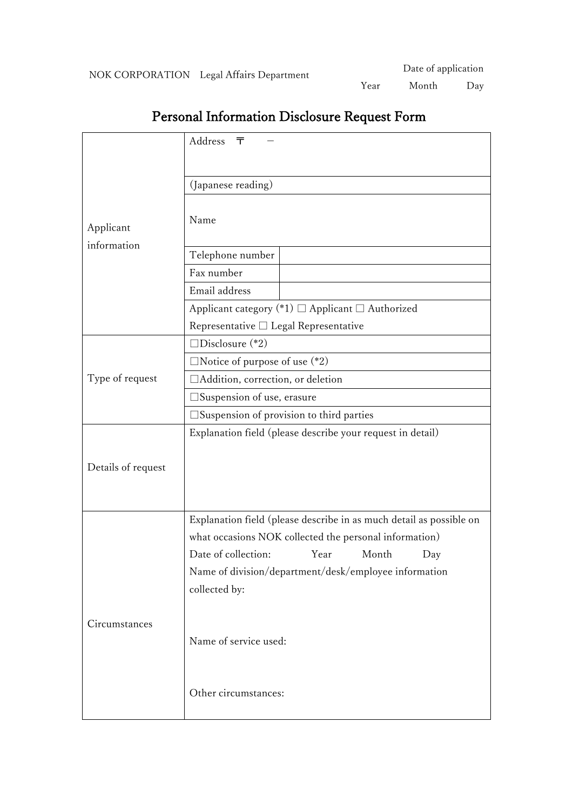|                          | Address<br>ᆍ                                                        |
|--------------------------|---------------------------------------------------------------------|
|                          |                                                                     |
| Applicant<br>information |                                                                     |
|                          | (Japanese reading)                                                  |
|                          |                                                                     |
|                          | Name                                                                |
|                          | Telephone number                                                    |
|                          | Fax number                                                          |
|                          | Email address                                                       |
|                          |                                                                     |
|                          | Applicant category (*1) $\Box$ Applicant $\Box$ Authorized          |
|                          | Representative □ Legal Representative                               |
|                          | $\square$ Disclosure (*2)                                           |
| Type of request          | $\Box$ Notice of purpose of use $(*2)$                              |
|                          | □Addition, correction, or deletion                                  |
|                          | $\square$ Suspension of use, erasure                                |
|                          | $\square$ Suspension of provision to third parties                  |
| Details of request       | Explanation field (please describe your request in detail)          |
|                          |                                                                     |
|                          |                                                                     |
|                          |                                                                     |
|                          |                                                                     |
|                          | Explanation field (please describe in as much detail as possible on |
|                          | what occasions NOK collected the personal information)              |
|                          | Date of collection: Year Month<br>Day                               |
|                          | Name of division/department/desk/employee information               |
|                          | collected by:                                                       |
|                          |                                                                     |
| Circumstances            |                                                                     |
|                          | Name of service used:                                               |
|                          |                                                                     |
|                          |                                                                     |
|                          | Other circumstances:                                                |
|                          |                                                                     |

## Personal Information Disclosure Request Form